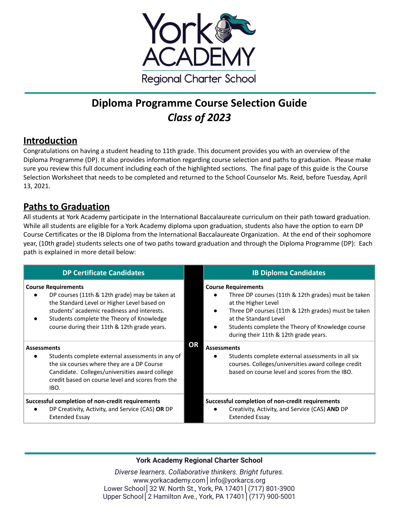

# **Diploma Programme Course Selection Guide** *Class of 2023*

# **Introduction**

Congratulations on having a student heading to 11th grade. This document provides you with an overview of the Diploma Programme (DP). It also provides information regarding course selection and paths to graduation. Please make sure you review this full document including each of the highlighted sections. The final page of this guide is the Course Selection Worksheet that needs to be completed and returned to the School Counselor Ms. Reid, before Tuesday, April 13, 2021.

# **Paths to Graduation**

All students at York Academy participate in the International Baccalaureate curriculum on their path toward graduation. While all students are eligible for a York Academy diploma upon graduation, students also have the option to earn DP Course Certificates or the IB Diploma from the International Baccalaureate Organization. At the end of their sophomore year, (10th grade) students selects one of two paths toward graduation and through the Diploma Programme (DP): Each path is explained in more detail below:

| <b>DP Certificate Candidates</b>                                                                                                                                                                                                                                                     | <b>IB Diploma Candidates</b>                                                                                                                                                                                                                                                                       |
|--------------------------------------------------------------------------------------------------------------------------------------------------------------------------------------------------------------------------------------------------------------------------------------|----------------------------------------------------------------------------------------------------------------------------------------------------------------------------------------------------------------------------------------------------------------------------------------------------|
| <b>Course Requirements</b><br>DP courses (11th & 12th grade) may be taken at<br>$\bullet$<br>the Standard Level or Higher Level based on<br>students' academic readiness and interests.<br>Students complete the Theory of Knowledge<br>course during their 11th & 12th grade years. | <b>Course Requirements</b><br>Three DP courses (11th & 12th grades) must be taken<br>at the Higher Level<br>Three DP courses (11th & 12th grades) must be taken<br>at the Standard Level<br>Students complete the Theory of Knowledge course<br>during their 11th & 12th grade years.<br><b>OR</b> |
| <b>Assessments</b><br>Students complete external assessments in any of<br>the six courses where they are a DP Course<br>Candidate. Colleges/universities award college<br>credit based on course level and scores from the<br>IBO.                                                   | <b>Assessments</b><br>Students complete external assessments in all six<br>courses. Colleges/universities award college credit<br>based on course level and scores from the IBO.                                                                                                                   |
| Successful completion of non-credit requirements<br>DP Creativity, Activity, and Service (CAS) OR DP<br><b>Extended Essay</b>                                                                                                                                                        | Successful completion of non-credit requirements<br>Creativity, Activity, and Service (CAS) AND DP<br><b>Extended Essay</b>                                                                                                                                                                        |

# **York Academy Regional Charter School**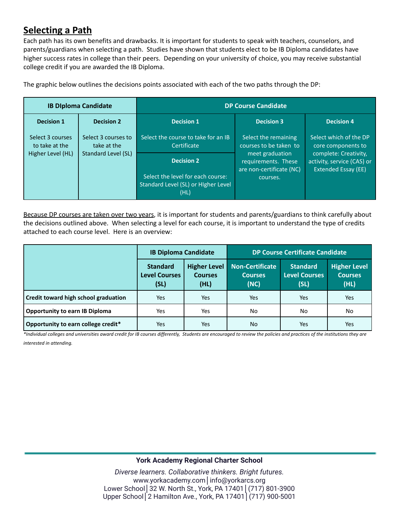# **Selecting a Path**

Each path has its own benefits and drawbacks. It is important for students to speak with teachers, counselors, and parents/guardians when selecting a path. Studies have shown that students elect to be IB Diploma candidates have higher success rates in college than their peers. Depending on your university of choice, you may receive substantial college credit if you are awarded the IB Diploma.

|                                    | <b>IB Diploma Candidate</b>        |                                                                                  | <b>DP Course Candidate</b>                     |                                                     |
|------------------------------------|------------------------------------|----------------------------------------------------------------------------------|------------------------------------------------|-----------------------------------------------------|
| <b>Decision 1</b>                  | <b>Decision 2</b>                  | <b>Decision 1</b>                                                                | <b>Decision 3</b>                              | <b>Decision 4</b>                                   |
| Select 3 courses<br>to take at the | Select 3 courses to<br>take at the | Select the course to take for an IB<br>Certificate                               | Select the remaining<br>courses to be taken to | Select which of the DP<br>core components to        |
| Higher Level (HL)                  | Standard Level (SL)                | <b>Decision 2</b>                                                                | meet graduation<br>requirements. These         | complete: Creativity,<br>activity, service (CAS) or |
|                                    |                                    | Select the level for each course:<br>Standard Level (SL) or Higher Level<br>(HL) | are non-certificate (NC)<br>courses.           | <b>Extended Essay (EE)</b>                          |

The graphic below outlines the decisions points associated with each of the two paths through the DP:

Because DP courses are taken over two years, it is important for students and parents/guardians to think carefully about the decisions outlined above. When selecting a level for each course, it is important to understand the type of credits attached to each course level. Here is an overview:

|                                       | <b>IB Diploma Candidate</b>                     |                                               | <b>DP Course Certificate Candidate</b>           |                                                 |                                               |
|---------------------------------------|-------------------------------------------------|-----------------------------------------------|--------------------------------------------------|-------------------------------------------------|-----------------------------------------------|
|                                       | <b>Standard</b><br><b>Level Courses</b><br>(SL) | <b>Higher Level</b><br><b>Courses</b><br>(HL) | <b>Non-Certificate</b><br><b>Courses</b><br>(NC) | <b>Standard</b><br><b>Level Courses</b><br>(SL) | <b>Higher Level</b><br><b>Courses</b><br>(HL) |
| Credit toward high school graduation  | Yes                                             | Yes                                           | Yes                                              | Yes                                             | Yes                                           |
| <b>Opportunity to earn IB Diploma</b> | Yes                                             | Yes                                           | No                                               | No.                                             | No.                                           |
| Opportunity to earn college credit*   | Yes                                             | Yes                                           | No.                                              | Yes                                             | Yes                                           |

\*Individual colleges and universities award credit for IB courses differently, Students are encouraged to review the policies and practices of the institutions they are *interested in attending.*

# **York Academy Regional Charter School**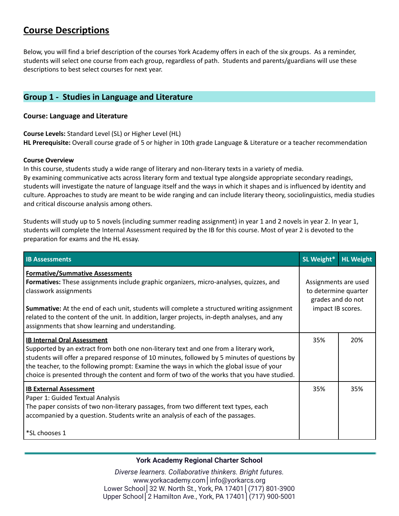# **Course Descriptions**

Below, you will find a brief description of the courses York Academy offers in each of the six groups. As a reminder, students will select one course from each group, regardless of path. Students and parents/guardians will use these descriptions to best select courses for next year.

# **Group 1 - Studies in Language and Literature**

# **Course: Language and Literature**

**Course Levels:** Standard Level (SL) or Higher Level (HL) **HL Prerequisite:** Overall course grade of 5 or higher in 10th grade Language & Literature or a teacher recommendation

### **Course Overview**

In this course, students study a wide range of literary and non-literary texts in a variety of media. By examining communicative acts across literary form and textual type alongside appropriate secondary readings, students will investigate the nature of language itself and the ways in which it shapes and is influenced by identity and culture. Approaches to study are meant to be wide ranging and can include literary theory, sociolinguistics, media studies and critical discourse analysis among others.

Students will study up to 5 novels (including summer reading assignment) in year 1 and 2 novels in year 2. In year 1, students will complete the Internal Assessment required by the IB for this course. Most of year 2 is devoted to the preparation for exams and the HL essay.

| <b>IB Assessments</b>                                                                                                                                                                                                                                                                                                                                                                                                  | SL Weight*                                                                             | <b>HL Weight</b> |
|------------------------------------------------------------------------------------------------------------------------------------------------------------------------------------------------------------------------------------------------------------------------------------------------------------------------------------------------------------------------------------------------------------------------|----------------------------------------------------------------------------------------|------------------|
| <b>Formative/Summative Assessments</b><br>Formatives: These assignments include graphic organizers, micro-analyses, quizzes, and<br>classwork assignments<br><b>Summative:</b> At the end of each unit, students will complete a structured writing assignment<br>related to the content of the unit. In addition, larger projects, in-depth analyses, and any<br>assignments that show learning and understanding.    | Assignments are used<br>to determine quarter<br>grades and do not<br>impact IB scores. |                  |
| <b>IB Internal Oral Assessment</b><br>Supported by an extract from both one non-literary text and one from a literary work,<br>students will offer a prepared response of 10 minutes, followed by 5 minutes of questions by<br>the teacher, to the following prompt: Examine the ways in which the global issue of your<br>choice is presented through the content and form of two of the works that you have studied. | 35%                                                                                    | 20%              |
| <b>IB External Assessment</b><br>Paper 1: Guided Textual Analysis<br>The paper consists of two non-literary passages, from two different text types, each<br>accompanied by a question. Students write an analysis of each of the passages.<br>*SL chooses 1                                                                                                                                                           | 35%                                                                                    | 35%              |

# **York Academy Regional Charter School**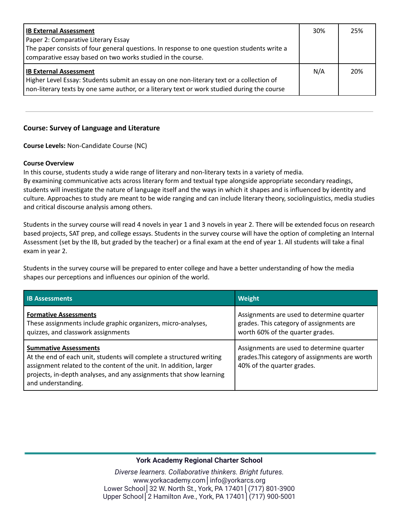| <b>IB External Assessment</b>                                                                                                                             | 30% | 25% |
|-----------------------------------------------------------------------------------------------------------------------------------------------------------|-----|-----|
| Paper 2: Comparative Literary Essay                                                                                                                       |     |     |
| The paper consists of four general questions. In response to one question students write a<br>comparative essay based on two works studied in the course. |     |     |
|                                                                                                                                                           |     |     |
| <b>IB External Assessment</b>                                                                                                                             |     | 20% |
| Higher Level Essay: Students submit an essay on one non-literary text or a collection of                                                                  |     |     |
| non-literary texts by one same author, or a literary text or work studied during the course                                                               |     |     |

# **Course: Survey of Language and Literature**

**Course Levels:** Non-Candidate Course (NC)

#### **Course Overview**

In this course, students study a wide range of literary and non-literary texts in a variety of media. By examining communicative acts across literary form and textual type alongside appropriate secondary readings, students will investigate the nature of language itself and the ways in which it shapes and is influenced by identity and culture. Approaches to study are meant to be wide ranging and can include literary theory, sociolinguistics, media studies and critical discourse analysis among others.

Students in the survey course will read 4 novels in year 1 and 3 novels in year 2. There will be extended focus on research based projects, SAT prep, and college essays. Students in the survey course will have the option of completing an Internal Assessment (set by the IB, but graded by the teacher) or a final exam at the end of year 1. All students will take a final exam in year 2.

Students in the survey course will be prepared to enter college and have a better understanding of how the media shapes our perceptions and influences our opinion of the world.

| <b>IB Assessments</b>                                                                                                                                                                                                                                                   | Weight                                                                                                                    |
|-------------------------------------------------------------------------------------------------------------------------------------------------------------------------------------------------------------------------------------------------------------------------|---------------------------------------------------------------------------------------------------------------------------|
| <b>Formative Assessments</b><br>These assignments include graphic organizers, micro-analyses,<br>quizzes, and classwork assignments                                                                                                                                     | Assignments are used to determine quarter<br>grades. This category of assignments are<br>worth 60% of the quarter grades. |
| <b>Summative Assessments</b><br>At the end of each unit, students will complete a structured writing<br>assignment related to the content of the unit. In addition, larger<br>projects, in-depth analyses, and any assignments that show learning<br>and understanding. | Assignments are used to determine quarter<br>grades. This category of assignments are worth<br>40% of the quarter grades. |

# **York Academy Regional Charter School**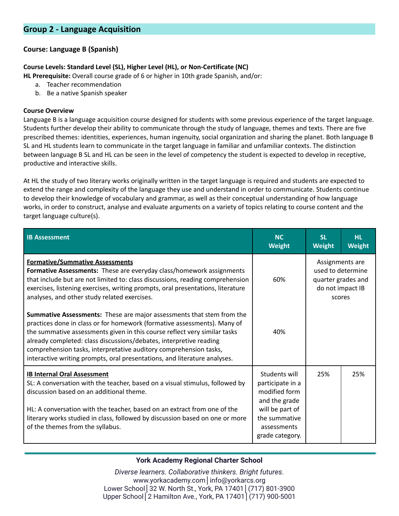# **Course: Language B (Spanish)**

# **Course Levels: Standard Level (SL), Higher Level (HL), or Non-Certificate (NC)**

**HL Prerequisite:** Overall course grade of 6 or higher in 10th grade Spanish, and/or:

- a. Teacher recommendation
- b. Be a native Spanish speaker

#### **Course Overview**

Language B is a language acquisition course designed for students with some previous experience of the target language. Students further develop their ability to communicate through the study of language, themes and texts. There are five prescribed themes: identities, experiences, human ingenuity, social organization and sharing the planet. Both language B SL and HL students learn to communicate in the target language in familiar and unfamiliar contexts. The distinction between language B SL and HL can be seen in the level of competency the student is expected to develop in receptive, productive and interactive skills.

At HL the study of two literary works originally written in the target language is required and students are expected to extend the range and complexity of the language they use and understand in order to communicate. Students continue to develop their knowledge of vocabulary and grammar, as well as their conceptual understanding of how language works, in order to construct, analyse and evaluate arguments on a variety of topics relating to course content and the target language culture(s).

| <b>IB Assessment</b>                                                                                                                                                                                                                                                                                                                                                                                                                                   | <b>NC</b><br><b>Weight</b>                                                                                                                | <b>SL</b><br><b>Weight</b>                                                               | <b>HL</b><br><b>Weight</b> |
|--------------------------------------------------------------------------------------------------------------------------------------------------------------------------------------------------------------------------------------------------------------------------------------------------------------------------------------------------------------------------------------------------------------------------------------------------------|-------------------------------------------------------------------------------------------------------------------------------------------|------------------------------------------------------------------------------------------|----------------------------|
| <b>Formative/Summative Assessments</b><br>Formative Assessments: These are everyday class/homework assignments<br>that include but are not limited to: class discussions, reading comprehension<br>exercises, listening exercises, writing prompts, oral presentations, literature<br>analyses, and other study related exercises.                                                                                                                     | 60%                                                                                                                                       | Assignments are<br>used to determine<br>quarter grades and<br>do not impact IB<br>scores |                            |
| Summative Assessments: These are major assessments that stem from the<br>practices done in class or for homework (formative assessments). Many of<br>the summative assessments given in this course reflect very similar tasks<br>already completed: class discussions/debates, interpretive reading<br>comprehension tasks, interpretative auditory comprehension tasks,<br>interactive writing prompts, oral presentations, and literature analyses. | 40%                                                                                                                                       |                                                                                          |                            |
| <b>IB Internal Oral Assessment</b><br>SL: A conversation with the teacher, based on a visual stimulus, followed by<br>discussion based on an additional theme.<br>HL: A conversation with the teacher, based on an extract from one of the<br>literary works studied in class, followed by discussion based on one or more<br>of the themes from the syllabus.                                                                                         | Students will<br>participate in a<br>modified form<br>and the grade<br>will be part of<br>the summative<br>assessments<br>grade category. | 25%                                                                                      | 25%                        |

# **York Academy Regional Charter School**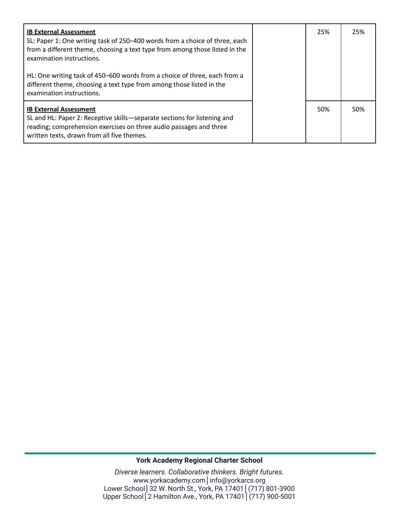| <b>IB External Assessment</b><br>SL: Paper 1: One writing task of 250-400 words from a choice of three, each<br>from a different theme, choosing a text type from among those listed in the<br>examination instructions.      | 25% | 25% |
|-------------------------------------------------------------------------------------------------------------------------------------------------------------------------------------------------------------------------------|-----|-----|
| HL: One writing task of 450-600 words from a choice of three, each from a<br>different theme, choosing a text type from among those listed in the<br>examination instructions.                                                |     |     |
| <b>IB External Assessment</b><br>SL and HL: Paper 2: Receptive skills-separate sections for listening and<br>reading; comprehension exercises on three audio passages and three<br>written texts, drawn from all five themes. | 50% | 50% |

# **York Academy Regional Charter School**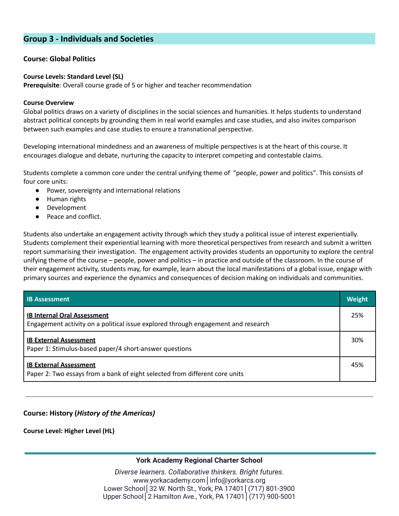# **Group 3 - Individuals and Societies**

### **Course: Global Politics**

#### **Course Levels: Standard Level (SL)**

**Prerequisite**: Overall course grade of 5 or higher and teacher recommendation

#### **Course Overview**

Global politics draws on a variety of disciplines in the social sciences and humanities. It helps students to understand abstract political concepts by grounding them in real world examples and case studies, and also invites comparison between such examples and case studies to ensure a transnational perspective.

Developing international mindedness and an awareness of multiple perspectives is at the heart of this course. It encourages dialogue and debate, nurturing the capacity to interpret competing and contestable claims.

Students complete a common core under the central unifying theme of "people, power and politics". This consists of four core units:

- Power, sovereignty and international relations
- Human rights
- Development
- Peace and conflict.

Students also undertake an engagement activity through which they study a political issue of interest experientially. Students complement their experiential learning with more theoretical perspectives from research and submit a written report summarising their investigation. The engagement activity provides students an opportunity to explore the central unifying theme of the course – people, power and politics – in practice and outside of the classroom. In the course of their engagement activity, students may, for example, learn about the local manifestations of a global issue, engage with primary sources and experience the dynamics and consequences of decision making on individuals and communities.

| <b>IB Assessment</b>                                                                                                    | <b>Weight</b> |
|-------------------------------------------------------------------------------------------------------------------------|---------------|
| <b>IB Internal Oral Assessment</b><br>Engagement activity on a political issue explored through engagement and research | 25%           |
| <b>IB External Assessment</b><br>Paper 1: Stimulus-based paper/4 short-answer questions                                 | 30%           |
| <b>IB External Assessment</b><br>Paper 2: Two essays from a bank of eight selected from different core units            | 45%           |

# **Course: History (***History of the Americas)*

**Course Level: Higher Level (HL)**

# **York Academy Regional Charter School**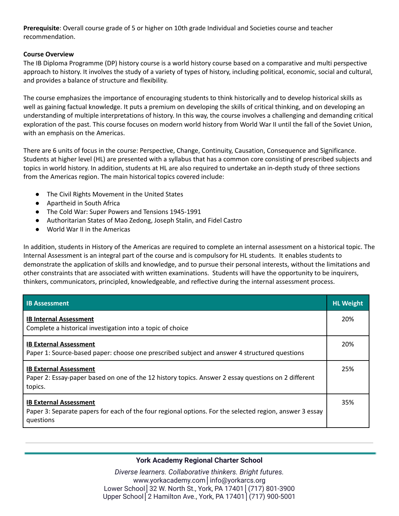**Prerequisite**: Overall course grade of 5 or higher on 10th grade Individual and Societies course and teacher recommendation.

### **Course Overview**

The IB Diploma Programme (DP) history course is a world history course based on a comparative and multi perspective approach to history. It involves the study of a variety of types of history, including political, economic, social and cultural, and provides a balance of structure and flexibility.

The course emphasizes the importance of encouraging students to think historically and to develop historical skills as well as gaining factual knowledge. It puts a premium on developing the skills of critical thinking, and on developing an understanding of multiple interpretations of history. In this way, the course involves a challenging and demanding critical exploration of the past. This course focuses on modern world history from World War II until the fall of the Soviet Union, with an emphasis on the Americas.

There are 6 units of focus in the course: Perspective, Change, Continuity, Causation, Consequence and Significance. Students at higher level (HL) are presented with a syllabus that has a common core consisting of prescribed subjects and topics in world history. In addition, students at HL are also required to undertake an in-depth study of three sections from the Americas region. The main historical topics covered include:

- The Civil Rights Movement in the United States
- Apartheid in South Africa
- The Cold War: Super Powers and Tensions 1945-1991
- Authoritarian States of Mao Zedong, Joseph Stalin, and Fidel Castro
- World War II in the Americas

In addition, students in History of the Americas are required to complete an internal assessment on a historical topic. The Internal Assessment is an integral part of the course and is compulsory for HL students. It enables students to demonstrate the application of skills and knowledge, and to pursue their personal interests, without the limitations and other constraints that are associated with written examinations. Students will have the opportunity to be inquirers, thinkers, communicators, principled, knowledgeable, and reflective during the internal assessment process.

| <b>IB Assessment</b>                                                                                                                                  | <b>HL Weight</b> |
|-------------------------------------------------------------------------------------------------------------------------------------------------------|------------------|
| <b>IB Internal Assessment</b><br>Complete a historical investigation into a topic of choice                                                           | 20%              |
| <b>IB External Assessment</b><br>Paper 1: Source-based paper: choose one prescribed subject and answer 4 structured questions                         | 20%              |
| <b>IB External Assessment</b><br>Paper 2: Essay-paper based on one of the 12 history topics. Answer 2 essay questions on 2 different<br>topics.       | 25%              |
| <b>IB External Assessment</b><br>Paper 3: Separate papers for each of the four regional options. For the selected region, answer 3 essay<br>questions | 35%              |

# **York Academy Regional Charter School**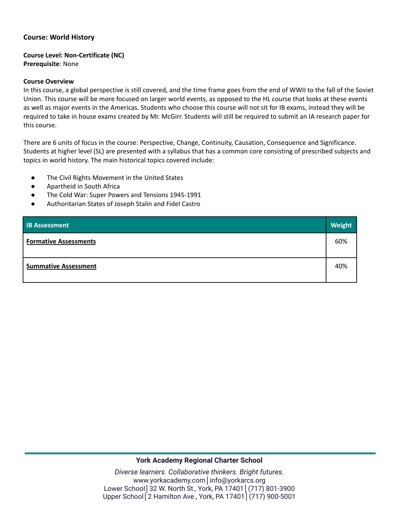### **Course: World History**

#### **Course Level: Non-Certificate (NC) Prerequisite**: None

#### **Course Overview**

In this course, a global perspective is still covered, and the time frame goes from the end of WWII to the fall of the Soviet Union. This course will be more focused on larger world events, as opposed to the HL course that looks at these events as well as major events in the Americas. Students who choose this course will not sit for IB exams, instead they will be required to take in house exams created by Mr. McGirr. Students will still be required to submit an IA research paper for this course.

There are 6 units of focus in the course: Perspective, Change, Continuity, Causation, Consequence and Significance. Students at higher level (SL) are presented with a syllabus that has a common core consisting of prescribed subjects and topics in world history. The main historical topics covered include:

- The Civil Rights Movement in the United States
- Apartheid in South Africa
- The Cold War: Super Powers and Tensions 1945-1991
- Authoritarian States of Joseph Stalin and Fidel Castro

| <b>IB Assessment</b>         | <b>Weight</b> |
|------------------------------|---------------|
| <b>Formative Assessments</b> | 60%           |
| <b>Summative Assessment</b>  | 40%           |

#### **York Academy Regional Charter School**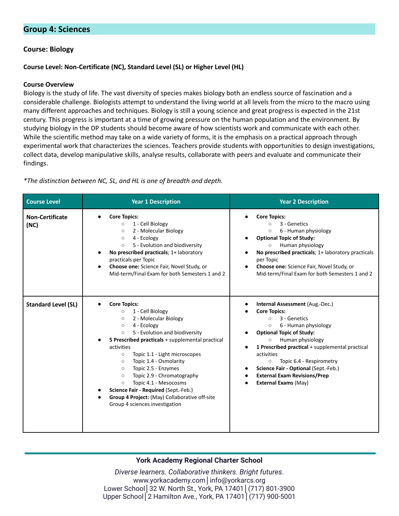# **Group 4: Sciences**

### **Course: Biology**

#### **Course Level: Non-Certificate (NC), Standard Level (SL) or Higher Level (HL)**

#### **Course Overview**

Biology is the study of life. The vast diversity of species makes biology both an endless source of fascination and a considerable challenge. Biologists attempt to understand the living world at all levels from the micro to the macro using many different approaches and techniques. Biology is still a young science and great progress is expected in the 21st century. This progress is important at a time of growing pressure on the human population and the environment. By studying biology in the DP students should become aware of how scientists work and communicate with each other. While the scientific method may take on a wide variety of forms, it is the emphasis on a practical approach through experimental work that characterizes the sciences. Teachers provide students with opportunities to design investigations, collect data, develop manipulative skills, analyse results, collaborate with peers and evaluate and communicate their findings.

| <b>Course Level</b>            | <b>Year 1 Description</b>                                                                                                                                                                                                                                                                                                                                                                                                                                                                                                                                  | <b>Year 2 Description</b>                                                                                                                                                                                                                                                                                                                                                                                  |
|--------------------------------|------------------------------------------------------------------------------------------------------------------------------------------------------------------------------------------------------------------------------------------------------------------------------------------------------------------------------------------------------------------------------------------------------------------------------------------------------------------------------------------------------------------------------------------------------------|------------------------------------------------------------------------------------------------------------------------------------------------------------------------------------------------------------------------------------------------------------------------------------------------------------------------------------------------------------------------------------------------------------|
| <b>Non-Certificate</b><br>(NC) | <b>Core Topics:</b><br>1 - Cell Biology<br>$\circ$<br>2 - Molecular Biology<br>$\circ$<br>4 - Ecology<br>$\circ$<br>5 - Evolution and biodiversity<br>$\circ$<br>No prescribed practicals; 1+ laboratory<br>practicals per Topic<br>Choose one: Science Fair, Novel Study, or<br>Mid-term/Final Exam for both Semesters 1 and 2                                                                                                                                                                                                                            | <b>Core Topics:</b><br>3 - Genetics<br>$\circ$<br>6 - Human physiology<br>$\circ$<br><b>Optional Topic of Study:</b><br>Human physiology<br>$\circ$<br>No prescribed practicals; 1+ laboratory practicals<br>per Topic<br>Choose one: Science Fair, Novel Study, or<br>Mid-term/Final Exam for both Semesters 1 and 2                                                                                      |
| <b>Standard Level (SL)</b>     | <b>Core Topics:</b><br>1 - Cell Biology<br>$\circ$<br>2 - Molecular Biology<br>$\circ$<br>4 - Ecology<br>$\circ$<br>5 - Evolution and biodiversity<br>$\circ$<br>5 Prescribed practicals + supplemental practical<br>activities<br>Topic 1.1 - Light microscopes<br>$\circ$<br>Topic 1.4 - Osmolarity<br>$\circ$<br>Topic 2.5 - Enzymes<br>$\circ$<br>Topic 2.9 - Chromatography<br>$\circ$<br>Topic 4.1 - Mesocosms<br>$\circ$<br>Science Fair - Required (Sept.-Feb.)<br>Group 4 Project: (May) Collaborative off-site<br>Group 4 sciences investigation | Internal Assessment (Aug.-Dec.)<br><b>Core Topics:</b><br>3 - Genetics<br>$\circ$<br>6 - Human physiology<br>$\circ$<br><b>Optional Topic of Study:</b><br>Human physiology<br>$\circ$<br>1 Prescribed practical + supplemental practical<br>activities<br>Topic 6.4 - Respirometry<br>$\circ$<br>Science Fair - Optional (Sept.-Feb.)<br>٠<br><b>External Exam Revisions/Prep</b><br>External Exams (May) |

*\*The distinction between NC, SL, and HL is one of breadth and depth.*

#### **York Academy Regional Charter School**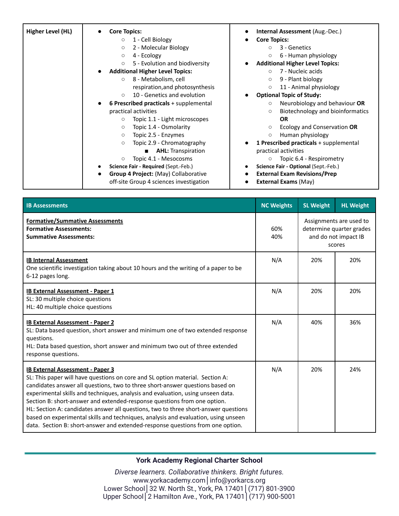| Higher Level (HL) | <b>Core Topics:</b><br>1 - Cell Biology<br>$\circ$<br>2 - Molecular Biology<br>$\circ$<br>4 - Ecology<br>$\circ$<br>5 - Evolution and biodiversity<br>$\circ$<br><b>Additional Higher Level Topics:</b><br>$\bullet$<br>8 - Metabolism, cell<br>$\circ$<br>respiration, and photosynthesis<br>10 - Genetics and evolution<br>$\circ$<br>6 Prescribed practicals + supplemental<br>$\bullet$<br>practical activities<br>Topic 1.1 - Light microscopes<br>$\circ$<br>Topic 1.4 - Osmolarity<br>$\circ$<br>$\circ$ | <b>Internal Assessment (Aug.-Dec.)</b><br><b>Core Topics:</b><br>3 - Genetics<br>$\circ$<br>6 - Human physiology<br>$\circ$<br><b>Additional Higher Level Topics:</b><br>7 - Nucleic acids<br>$\circ$<br>9 - Plant biology<br>$\circ$<br>11 - Animal physiology<br>$\circ$<br><b>Optional Topic of Study:</b><br>Neurobiology and behaviour OR<br>$\circ$<br>Biotechnology and bioinformatics<br>$\circ$<br><b>OR</b><br>Ecology and Conservation OR<br>$\circ$<br>$\circ$ |
|-------------------|-----------------------------------------------------------------------------------------------------------------------------------------------------------------------------------------------------------------------------------------------------------------------------------------------------------------------------------------------------------------------------------------------------------------------------------------------------------------------------------------------------------------|----------------------------------------------------------------------------------------------------------------------------------------------------------------------------------------------------------------------------------------------------------------------------------------------------------------------------------------------------------------------------------------------------------------------------------------------------------------------------|
|                   | Topic 2.5 - Enzymes<br>Topic 2.9 - Chromatography<br>$\circ$<br><b>AHL:</b> Transpiration<br>$\blacksquare$<br>Topic 4.1 - Mesocosms<br>$\circ$<br>Science Fair - Required (Sept.-Feb.)<br><b>Group 4 Project: (May) Collaborative</b><br>off-site Group 4 sciences investigation                                                                                                                                                                                                                               | Human physiology<br><b>1 Prescribed practicals</b> + supplemental<br>practical activities<br>Topic 6.4 - Respirometry<br>Science Fair - Optional (Sept.-Feb.)<br><b>External Exam Revisions/Prep</b><br><b>External Exams (May)</b>                                                                                                                                                                                                                                        |

| <b>IB Assessments</b>                                                                                                                                                                                                                                                                                                                                                                                                                                                                                                                                                                                                                   | <b>NC Weights</b> | <b>SL Weight</b>                                                                      | <b>HL Weight</b> |
|-----------------------------------------------------------------------------------------------------------------------------------------------------------------------------------------------------------------------------------------------------------------------------------------------------------------------------------------------------------------------------------------------------------------------------------------------------------------------------------------------------------------------------------------------------------------------------------------------------------------------------------------|-------------------|---------------------------------------------------------------------------------------|------------------|
| <b>Formative/Summative Assessments</b><br><b>Formative Assessments:</b><br><b>Summative Assessments:</b>                                                                                                                                                                                                                                                                                                                                                                                                                                                                                                                                | 60%<br>40%        | Assignments are used to<br>determine quarter grades<br>and do not impact IB<br>scores |                  |
| <b>IB Internal Assessment</b><br>One scientific investigation taking about 10 hours and the writing of a paper to be<br>6-12 pages long.                                                                                                                                                                                                                                                                                                                                                                                                                                                                                                | N/A               | 20%                                                                                   | 20%              |
| <b>IB External Assessment - Paper 1</b><br>SL: 30 multiple choice questions<br>HL: 40 multiple choice questions                                                                                                                                                                                                                                                                                                                                                                                                                                                                                                                         | N/A               | 20%                                                                                   | 20%              |
| <b>IB External Assessment - Paper 2</b><br>SL: Data based question, short answer and minimum one of two extended response<br>questions.<br>HL: Data based question, short answer and minimum two out of three extended<br>response questions.                                                                                                                                                                                                                                                                                                                                                                                           | N/A               | 40%                                                                                   | 36%              |
| <b>IB External Assessment - Paper 3</b><br>SL: This paper will have questions on core and SL option material. Section A:<br>candidates answer all questions, two to three short-answer questions based on<br>experimental skills and techniques, analysis and evaluation, using unseen data.<br>Section B: short-answer and extended-response questions from one option.<br>HL: Section A: candidates answer all questions, two to three short-answer questions<br>based on experimental skills and techniques, analysis and evaluation, using unseen<br>data. Section B: short-answer and extended-response questions from one option. | N/A               | 20%                                                                                   | 24%              |

**York Academy Regional Charter School**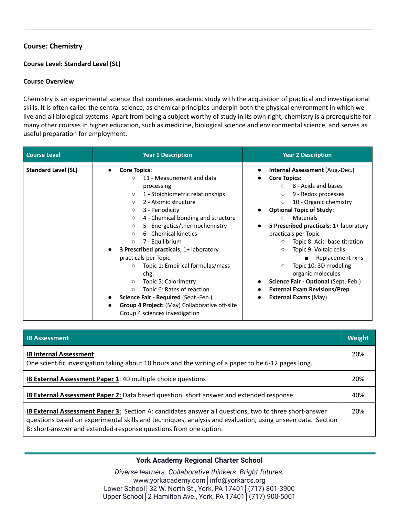# **Course: Chemistry**

## **Course Level: Standard Level (SL)**

#### **Course Overview**

Chemistry is an experimental science that combines academic study with the acquisition of practical and investigational skills. It is often called the central science, as chemical principles underpin both the physical environment in which we live and all biological systems. Apart from being a subject worthy of study in its own right, chemistry is a prerequisite for many other courses in higher education, such as medicine, biological science and environmental science, and serves as useful preparation for employment.

| <b>Course Level</b>        | <b>Year 1 Description</b>                                                                                                                                                                                                                                                                                                                                                                                                                                                                                                                                                                                                                                                                         | <b>Year 2 Description</b>                                                                                                                                                                                                                                                                                                                                                                                                                                                                                                                                                                                                                            |  |  |
|----------------------------|---------------------------------------------------------------------------------------------------------------------------------------------------------------------------------------------------------------------------------------------------------------------------------------------------------------------------------------------------------------------------------------------------------------------------------------------------------------------------------------------------------------------------------------------------------------------------------------------------------------------------------------------------------------------------------------------------|------------------------------------------------------------------------------------------------------------------------------------------------------------------------------------------------------------------------------------------------------------------------------------------------------------------------------------------------------------------------------------------------------------------------------------------------------------------------------------------------------------------------------------------------------------------------------------------------------------------------------------------------------|--|--|
| <b>Standard Level (SL)</b> | <b>Core Topics:</b><br>11 - Measurement and data<br>$\circ$<br>processing<br>1 - Stoichiometric relationships<br>$\circ$<br>2 - Atomic structure<br>$\circ$<br>3 - Periodicity<br>$\circ$<br>4 - Chemical bonding and structure<br>$\circ$<br>5 - Energetics/thermochemistry<br>$\circ$<br>6 - Chemical kinetics<br>$\circ$<br>7 - Equilibrium<br>$\circ$<br><b>3 Prescribed practicals</b> ; 1+ laboratory<br>practicals per Topic<br>Topic 1: Empirical formulas/mass<br>$\circ$<br>chg.<br>Topic 5: Calorimetry<br>$\circ$<br>Topic 6: Rates of reaction<br>$\circ$<br>Science Fair - Required (Sept.-Feb.)<br>Group 4 Project: (May) Collaborative off-site<br>Group 4 sciences investigation | <b>Internal Assessment (Aug.-Dec.)</b><br><b>Core Topics:</b><br>$\bullet$<br>8 - Acids and bases<br>$\circ$<br>9 - Redox processes<br>$\circ$<br>10 - Organic chemistry<br>$\circ$<br><b>Optional Topic of Study:</b><br>Materials<br>$\circ$<br>5 Prescribed practicals; 1+ laboratory<br>$\bullet$<br>practicals per Topic<br>Topic 8: Acid-base titration<br>$\circ$<br>Topic 9: Voltaic cells<br>$\circ$<br>Replacement rxns<br>$\blacksquare$<br>Topic 10: 3D modeling<br>$\circ$<br>organic molecules<br>Science Fair - Optional (Sept.-Feb.)<br><b>External Exam Revisions/Prep</b><br>$\bullet$<br><b>External Exams (May)</b><br>$\bullet$ |  |  |

| <b>IB Assessment</b>                                                                                                                                                                                                                                                                           | Weight |
|------------------------------------------------------------------------------------------------------------------------------------------------------------------------------------------------------------------------------------------------------------------------------------------------|--------|
| <b>IB Internal Assessment</b><br>One scientific investigation taking about 10 hours and the writing of a paper to be 6-12 pages long.                                                                                                                                                          | 20%    |
| <b>IB External Assessment Paper 1: 40 multiple choice questions</b>                                                                                                                                                                                                                            | 20%    |
| <b>IB External Assessment Paper 2:</b> Data based question, short answer and extended response.                                                                                                                                                                                                | 40%    |
| <b>IB External Assessment Paper 3:</b> Section A: candidates answer all questions, two to three short-answer<br>questions based on experimental skills and techniques, analysis and evaluation, using unseen data. Section<br>B: short-answer and extended-response questions from one option. | 20%    |

# **York Academy Regional Charter School**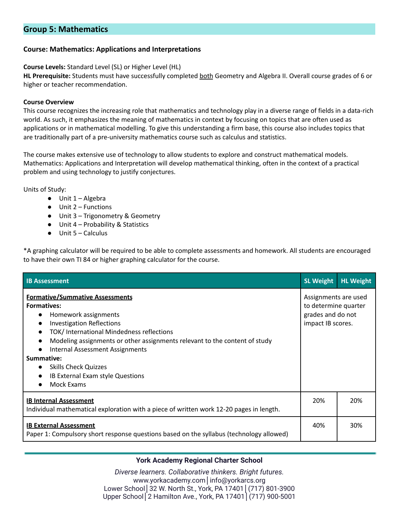# **Group 5: Mathematics**

### **Course: Mathematics: Applications and Interpretations**

#### **Course Levels:** Standard Level (SL) or Higher Level (HL)

**HL Prerequisite:** Students must have successfully completed both Geometry and Algebra II. Overall course grades of 6 or higher or teacher recommendation.

#### **Course Overview**

This course recognizes the increasing role that mathematics and technology play in a diverse range of fields in a data-rich world. As such, it emphasizes the meaning of mathematics in context by focusing on topics that are often used as applications or in mathematical modelling. To give this understanding a firm base, this course also includes topics that are traditionally part of a pre-university mathematics course such as calculus and statistics.

The course makes extensive use of technology to allow students to explore and construct mathematical models. Mathematics: Applications and Interpretation will develop mathematical thinking, often in the context of a practical problem and using technology to justify conjectures.

Units of Study:

- $\bullet$  Unit 1 Algebra
- $\bullet$  Unit 2 Functions
- Unit 3 Trigonometry & Geometry
- Unit 4 Probability & Statistics
- $\bullet$  Unit 5 Calculus

\*A graphing calculator will be required to be able to complete assessments and homework. All students are encouraged to have their own TI 84 or higher graphing calculator for the course.

| <b>IB Assessment</b>                                                                                                                                                                                                                                                                                                                                                                                                                             | <b>SL Weight</b>                                                                       | <b>HL Weight</b> |
|--------------------------------------------------------------------------------------------------------------------------------------------------------------------------------------------------------------------------------------------------------------------------------------------------------------------------------------------------------------------------------------------------------------------------------------------------|----------------------------------------------------------------------------------------|------------------|
| <b>Formative/Summative Assessments</b><br><b>Formatives:</b><br>Homework assignments<br><b>Investigation Reflections</b><br>$\bullet$<br>TOK/International Mindedness reflections<br>$\bullet$<br>Modeling assignments or other assignments relevant to the content of study<br>$\bullet$<br>Internal Assessment Assignments<br>$\bullet$<br>Summative:<br>• Skills Check Quizzes<br>IB External Exam style Questions<br>$\bullet$<br>Mock Exams | Assignments are used<br>to determine quarter<br>grades and do not<br>impact IB scores. |                  |
| <b>IB Internal Assessment</b><br>Individual mathematical exploration with a piece of written work 12-20 pages in length.                                                                                                                                                                                                                                                                                                                         | 20%                                                                                    | 20%              |
| <b>IB External Assessment</b><br>Paper 1: Compulsory short response questions based on the syllabus (technology allowed)                                                                                                                                                                                                                                                                                                                         | 40%                                                                                    | 30%              |

# **York Academy Regional Charter School**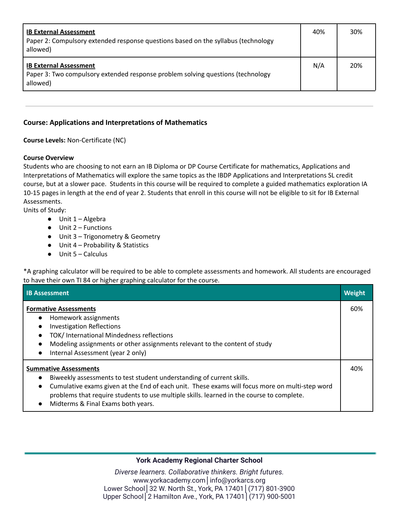| <b>IB External Assessment</b><br>Paper 2: Compulsory extended response questions based on the syllabus (technology<br>allowed) | 40% | 30% |
|--------------------------------------------------------------------------------------------------------------------------------|-----|-----|
| <b>IB External Assessment</b><br>Paper 3: Two compulsory extended response problem solving questions (technology<br>allowed)   | N/A | 20% |

# **Course: Applications and Interpretations of Mathematics**

#### **Course Levels:** Non-Certificate (NC)

#### **Course Overview**

Students who are choosing to not earn an IB Diploma or DP Course Certificate for mathematics, Applications and Interpretations of Mathematics will explore the same topics as the IBDP Applications and Interpretations SL credit course, but at a slower pace. Students in this course will be required to complete a guided mathematics exploration IA 10-15 pages in length at the end of year 2. Students that enroll in this course will not be eligible to sit for IB External Assessments.

Units of Study:

- Unit 1 Algebra
- Unit 2 Functions
- Unit 3 Trigonometry & Geometry
- Unit 4 Probability & Statistics
- Unit 5 Calculus

\*A graphing calculator will be required to be able to complete assessments and homework. All students are encouraged to have their own TI 84 or higher graphing calculator for the course.

| <b>IB Assessment</b>                                                                                                                                                                                                                                                                                                                                                 | Weight |
|----------------------------------------------------------------------------------------------------------------------------------------------------------------------------------------------------------------------------------------------------------------------------------------------------------------------------------------------------------------------|--------|
| <b>Formative Assessments</b><br>Homework assignments<br>$\bullet$<br>Investigation Reflections<br>$\bullet$<br>TOK/ International Mindedness reflections<br>$\bullet$<br>Modeling assignments or other assignments relevant to the content of study<br>$\bullet$<br>Internal Assessment (year 2 only)<br>$\bullet$                                                   | 60%    |
| <b>Summative Assessments</b><br>Biweekly assessments to test student understanding of current skills.<br>Cumulative exams given at the End of each unit. These exams will focus more on multi-step word<br>$\bullet$<br>problems that require students to use multiple skills. learned in the course to complete.<br>Midterms & Final Exams both years.<br>$\bullet$ | 40%    |

# **York Academy Regional Charter School**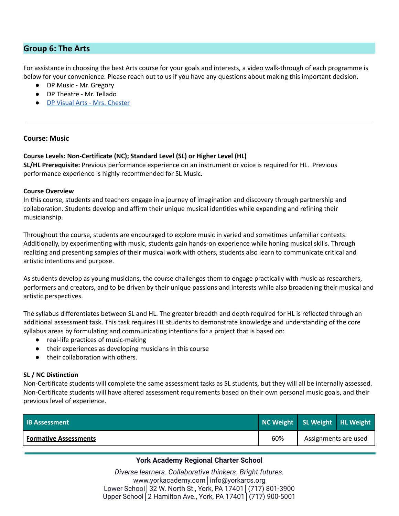# **Group 6: The Arts**

For assistance in choosing the best Arts course for your goals and interests, a video walk-through of each programme is below for your convenience. Please reach out to us if you have any questions about making this important decision.

- DP Music Mr. Gregory
- DP Theatre Mr. Tellado
- DP Visual Arts Mrs. [Chester](https://youtu.be/H5g4Fm26h5s)

### **Course: Music**

#### **Course Levels: Non-Certificate (NC); Standard Level (SL) or Higher Level (HL)**

**SL/HL Prerequisite:** Previous performance experience on an instrument or voice is required for HL. Previous performance experience is highly recommended for SL Music.

#### **Course Overview**

In this course, students and teachers engage in a journey of imagination and discovery through partnership and collaboration. Students develop and affirm their unique musical identities while expanding and refining their musicianship.

Throughout the course, students are encouraged to explore music in varied and sometimes unfamiliar contexts. Additionally, by experimenting with music, students gain hands-on experience while honing musical skills. Through realizing and presenting samples of their musical work with others, students also learn to communicate critical and artistic intentions and purpose.

As students develop as young musicians, the course challenges them to engage practically with music as researchers, performers and creators, and to be driven by their unique passions and interests while also broadening their musical and artistic perspectives.

The syllabus differentiates between SL and HL. The greater breadth and depth required for HL is reflected through an additional assessment task. This task requires HL students to demonstrate knowledge and understanding of the core syllabus areas by formulating and communicating intentions for a project that is based on:

- real-life practices of music-making
- their experiences as developing musicians in this course
- their collaboration with others.

#### **SL / NC Distinction**

Non-Certificate students will complete the same assessment tasks as SL students, but they will all be internally assessed. Non-Certificate students will have altered assessment requirements based on their own personal music goals, and their previous level of experience.

| <b>IB Assessment</b>         | NC Weight SL Weight HL Weight |                      |  |
|------------------------------|-------------------------------|----------------------|--|
| <b>Formative Assessments</b> | 60%                           | Assignments are used |  |

# **York Academy Regional Charter School**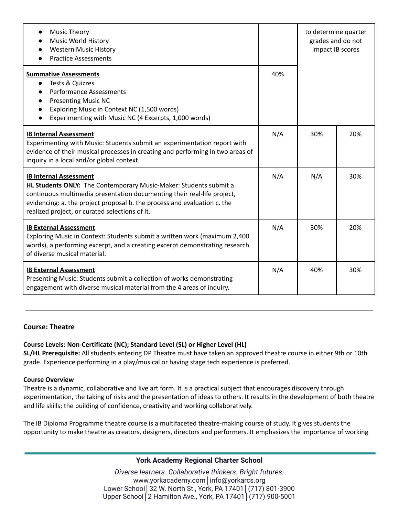| <b>Music Theory</b><br><b>Music World History</b><br><b>Western Music History</b><br><b>Practice Assessments</b>                                                                                                                                                                                            |     | to determine quarter<br>grades and do not<br>impact IB scores |     |
|-------------------------------------------------------------------------------------------------------------------------------------------------------------------------------------------------------------------------------------------------------------------------------------------------------------|-----|---------------------------------------------------------------|-----|
| <b>Summative Assessments</b><br>Tests & Quizzes<br>$\bullet$<br><b>Performance Assessments</b><br>$\bullet$<br><b>Presenting Music NC</b><br>Exploring Music in Context NC (1,500 words)<br>$\bullet$<br>Experimenting with Music NC (4 Excerpts, 1,000 words)                                              | 40% |                                                               |     |
| <b>IB Internal Assessment</b><br>Experimenting with Music: Students submit an experimentation report with<br>evidence of their musical processes in creating and performing in two areas of<br>inquiry in a local and/or global context.                                                                    | N/A | 30%                                                           | 20% |
| <b>IB Internal Assessment</b><br>HL Students ONLY: The Contemporary Music-Maker: Students submit a<br>continuous multimedia presentation documenting their real-life project,<br>evidencing: a. the project proposal b. the process and evaluation c. the<br>realized project, or curated selections of it. | N/A | N/A                                                           | 30% |
| <b>IB External Assessment</b><br>Exploring Music in Context: Students submit a written work (maximum 2,400<br>words), a performing excerpt, and a creating excerpt demonstrating research<br>of diverse musical material.                                                                                   | N/A | 30%                                                           | 20% |
| <b>IB External Assessment</b><br>Presenting Music: Students submit a collection of works demonstrating<br>engagement with diverse musical material from the 4 areas of inquiry.                                                                                                                             | N/A | 40%                                                           | 30% |

#### **Course: Theatre**

#### **Course Levels: Non-Certificate (NC); Standard Level (SL) or Higher Level (HL)**

**SL/HL Prerequisite:** All students entering DP Theatre must have taken an approved theatre course in either 9th or 10th grade. Experience performing in a play/musical or having stage tech experience is preferred.

#### **Course Overview**

Theatre is a dynamic, collaborative and live art form. It is a practical subject that encourages discovery through experimentation, the taking of risks and the presentation of ideas to others. It results in the development of both theatre and life skills; the building of confidence, creativity and working collaboratively.

The IB Diploma Programme theatre course is a multifaceted theatre-making course of study. It gives students the opportunity to make theatre as creators, designers, directors and performers. It emphasizes the importance of working

#### **York Academy Regional Charter School**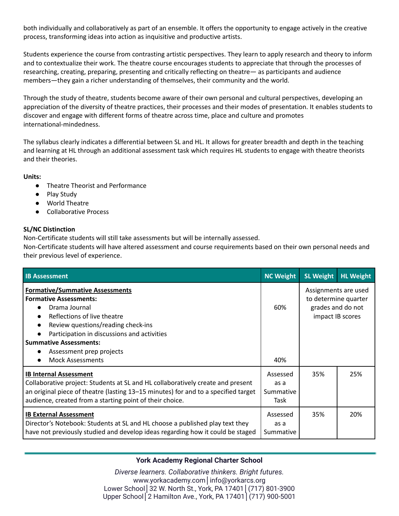both individually and collaboratively as part of an ensemble. It offers the opportunity to engage actively in the creative process, transforming ideas into action as inquisitive and productive artists.

Students experience the course from contrasting artistic perspectives. They learn to apply research and theory to inform and to contextualize their work. The theatre course encourages students to appreciate that through the processes of researching, creating, preparing, presenting and critically reflecting on theatre— as participants and audience members—they gain a richer understanding of themselves, their community and the world.

Through the study of theatre, students become aware of their own personal and cultural perspectives, developing an appreciation of the diversity of theatre practices, their processes and their modes of presentation. It enables students to discover and engage with different forms of theatre across time, place and culture and promotes international-mindedness.

The syllabus clearly indicates a differential between SL and HL. It allows for greater breadth and depth in the teaching and learning at HL through an additional assessment task which requires HL students to engage with theatre theorists and their theories.

#### **Units:**

- Theatre Theorist and Performance
- Play Study
- World Theatre
- Collaborative Process

# **SL/NC Distinction**

Non-Certificate students will still take assessments but will be internally assessed.

Non-Certificate students will have altered assessment and course requirements based on their own personal needs and their previous level of experience.

| <b>IB Assessment</b>                                                                                                                                                                                                                                               | <b>NC Weight</b>                      | <b>SL Weight</b>                                                                      | <b>HL Weight</b> |
|--------------------------------------------------------------------------------------------------------------------------------------------------------------------------------------------------------------------------------------------------------------------|---------------------------------------|---------------------------------------------------------------------------------------|------------------|
| <b>Formative/Summative Assessments</b><br><b>Formative Assessments:</b><br>Drama Journal<br>Reflections of live theatre<br>Review questions/reading check-ins<br>Participation in discussions and activities<br><b>Summative Assessments:</b>                      | 60%                                   | Assignments are used<br>to determine quarter<br>grades and do not<br>impact IB scores |                  |
| Assessment prep projects<br><b>Mock Assessments</b>                                                                                                                                                                                                                | 40%                                   |                                                                                       |                  |
| <b>IB Internal Assessment</b><br>Collaborative project: Students at SL and HL collaboratively create and present<br>an original piece of theatre (lasting 13–15 minutes) for and to a specified target<br>audience, created from a starting point of their choice. | Assessed<br>as a<br>Summative<br>Task | 35%                                                                                   | 25%              |
| <b>IB External Assessment</b><br>Director's Notebook: Students at SL and HL choose a published play text they<br>have not previously studied and develop ideas regarding how it could be staged                                                                    | Assessed<br>as a<br>Summative         | 35%                                                                                   | 20%              |

# **York Academy Regional Charter School**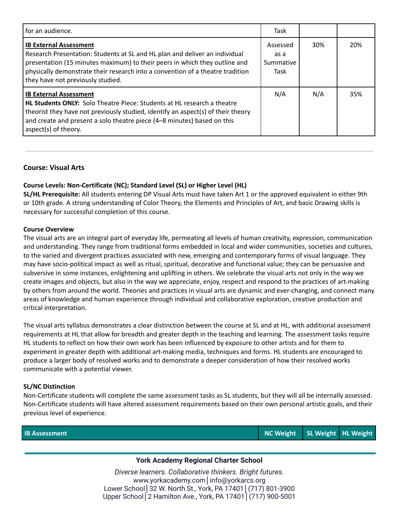| for an audience.                                                                                                                                                                                                                                                                                                  | Task                                  |     |     |
|-------------------------------------------------------------------------------------------------------------------------------------------------------------------------------------------------------------------------------------------------------------------------------------------------------------------|---------------------------------------|-----|-----|
| <b>IB External Assessment</b><br>Research Presentation: Students at SL and HL plan and deliver an individual<br>presentation (15 minutes maximum) to their peers in which they outline and<br>physically demonstrate their research into a convention of a theatre tradition<br>they have not previously studied. | Assessed<br>as a<br>Summative<br>Task | 30% | 20% |
| <b>IB External Assessment</b><br>HL Students ONLY: Solo Theatre Piece: Students at HL research a theatre<br>theorist they have not previously studied, identify an aspect(s) of their theory<br>and create and present a solo theatre piece (4–8 minutes) based on this<br>aspect(s) of theory.                   | N/A                                   | N/A | 35% |

### **Course: Visual Arts**

#### **Course Levels: Non-Certificate (NC); Standard Level (SL) or Higher Level (HL)**

**SL/HL Prerequisite:** All students entering DP Visual Arts must have taken Art 1 or the approved equivalent in either 9th or 10th grade. A strong understanding of Color Theory, the Elements and Principles of Art, and basic Drawing skills is necessary for successful completion of this course.

#### **Course Overview**

The visual arts are an integral part of everyday life, permeating all levels of human creativity, expression, communication and understanding. They range from traditional forms embedded in local and wider communities, societies and cultures, to the varied and divergent practices associated with new, emerging and contemporary forms of visual language. They may have socio-political impact as well as ritual, spiritual, decorative and functional value; they can be persuasive and subversive in some instances, enlightening and uplifting in others. We celebrate the visual arts not only in the way we create images and objects, but also in the way we appreciate, enjoy, respect and respond to the practices of art-making by others from around the world. Theories and practices in visual arts are dynamic and ever-changing, and connect many areas of knowledge and human experience through individual and collaborative exploration, creative production and critical interpretation.

The visual arts syllabus demonstrates a clear distinction between the course at SL and at HL, with additional assessment requirements at HL that allow for breadth and greater depth in the teaching and learning. The assessment tasks require HL students to reflect on how their own work has been influenced by exposure to other artists and for them to experiment in greater depth with additional art-making media, techniques and forms. HL students are encouraged to produce a larger body of resolved works and to demonstrate a deeper consideration of how their resolved works communicate with a potential viewer.

#### **SL/NC Distinction**

Non-Certificate students will complete the same assessment tasks as SL students, but they will all be internally assessed. Non-Certificate students will have altered assessment requirements based on their own personal artistic goals, and their previous level of experience.

**IB Assessment NC Weight SL Weight HL Weight**

# **York Academy Regional Charter School**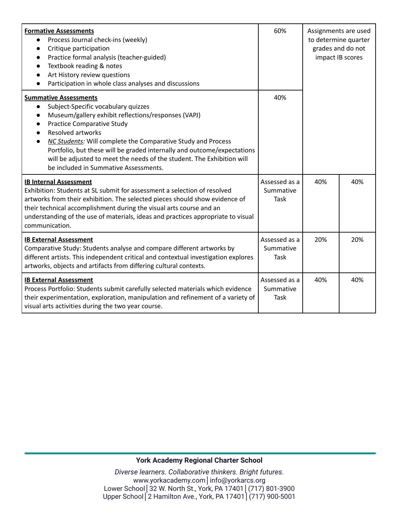| <b>Formative Assessments</b><br>Process Journal check-ins (weekly)<br>$\bullet$<br>Critique participation<br>$\bullet$<br>Practice formal analysis (teacher-guided)<br>$\bullet$<br>Textbook reading & notes<br>$\bullet$<br>Art History review questions<br>Participation in whole class analyses and discussions<br>$\bullet$                                                                                                                                                                               | 60%                                | Assignments are used<br>to determine quarter<br>grades and do not<br>impact IB scores |     |
|---------------------------------------------------------------------------------------------------------------------------------------------------------------------------------------------------------------------------------------------------------------------------------------------------------------------------------------------------------------------------------------------------------------------------------------------------------------------------------------------------------------|------------------------------------|---------------------------------------------------------------------------------------|-----|
| <b>Summative Assessments</b><br>Subject-Specific vocabulary quizzes<br>$\bullet$<br>Museum/gallery exhibit reflections/responses (VAPJ)<br>$\bullet$<br><b>Practice Comparative Study</b><br>$\bullet$<br><b>Resolved artworks</b><br>NC Students: Will complete the Comparative Study and Process<br>$\bullet$<br>Portfolio, but these will be graded internally and outcome/expectations<br>will be adjusted to meet the needs of the student. The Exhibition will<br>be included in Summative Assessments. | 40%                                |                                                                                       |     |
| <b>IB Internal Assessment</b><br>Exhibition: Students at SL submit for assessment a selection of resolved<br>artworks from their exhibition. The selected pieces should show evidence of<br>their technical accomplishment during the visual arts course and an<br>understanding of the use of materials, ideas and practices appropriate to visual<br>communication.                                                                                                                                         | Assessed as a<br>Summative<br>Task | 40%                                                                                   | 40% |
| <b>IB External Assessment</b><br>Comparative Study: Students analyse and compare different artworks by<br>different artists. This independent critical and contextual investigation explores<br>artworks, objects and artifacts from differing cultural contexts.                                                                                                                                                                                                                                             | Assessed as a<br>Summative<br>Task | 20%                                                                                   | 20% |
| <b>IB External Assessment</b><br>Process Portfolio: Students submit carefully selected materials which evidence<br>their experimentation, exploration, manipulation and refinement of a variety of<br>visual arts activities during the two year course.                                                                                                                                                                                                                                                      | Assessed as a<br>Summative<br>Task | 40%                                                                                   | 40% |

# **York Academy Regional Charter School**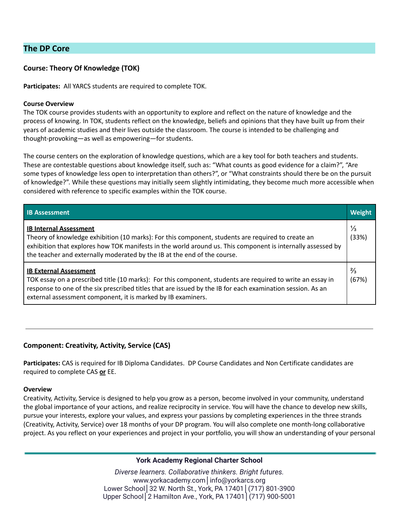# **The DP Core**

# **Course: Theory Of Knowledge (TOK)**

**Participates:** All YARCS students are required to complete TOK.

#### **Course Overview**

The TOK course provides students with an opportunity to explore and reflect on the nature of knowledge and the process of knowing. In TOK, students reflect on the knowledge, beliefs and opinions that they have built up from their years of academic studies and their lives outside the classroom. The course is intended to be challenging and thought-provoking—as well as empowering—for students.

The course centers on the exploration of knowledge questions, which are a key tool for both teachers and students. These are contestable questions about knowledge itself, such as: "What counts as good evidence for a claim?", "Are some types of knowledge less open to interpretation than others?", or "What constraints should there be on the pursuit of knowledge?". While these questions may initially seem slightly intimidating, they become much more accessible when considered with reference to specific examples within the TOK course.

| <b>IB Assessment</b>                                                                                                                                                                                                                                                                                                          | Weight                 |
|-------------------------------------------------------------------------------------------------------------------------------------------------------------------------------------------------------------------------------------------------------------------------------------------------------------------------------|------------------------|
| <b>IB Internal Assessment</b><br>Theory of knowledge exhibition (10 marks): For this component, students are required to create an<br>exhibition that explores how TOK manifests in the world around us. This component is internally assessed by<br>the teacher and externally moderated by the IB at the end of the course. | $\frac{1}{3}$<br>(33%) |
| <b>IB External Assessment</b><br>TOK essay on a prescribed title (10 marks): For this component, students are required to write an essay in<br>response to one of the six prescribed titles that are issued by the IB for each examination session. As an<br>external assessment component, it is marked by IB examiners.     | $\frac{2}{3}$<br>(67%) |

# **Component: Creativity, Activity, Service (CAS)**

**Participates:** CAS is required for IB Diploma Candidates. DP Course Candidates and Non Certificate candidates are required to complete CAS **or** EE.

#### **Overview**

Creativity, Activity, Service is designed to help you grow as a person, become involved in your community, understand the global importance of your actions, and realize reciprocity in service. You will have the chance to develop new skills, pursue your interests, explore your values, and express your passions by completing experiences in the three strands (Creativity, Activity, Service) over 18 months of your DP program. You will also complete one month-long collaborative project. As you reflect on your experiences and project in your portfolio, you will show an understanding of your personal

#### **York Academy Regional Charter School**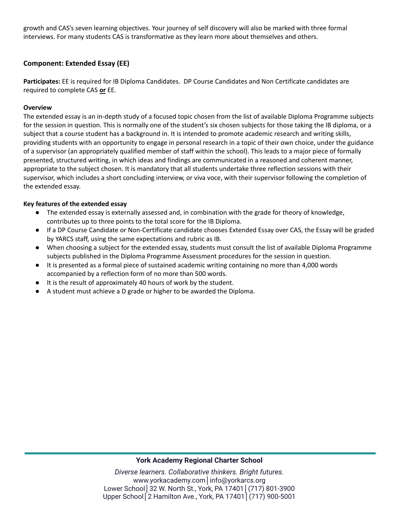growth and CAS's seven learning objectives. Your journey of self discovery will also be marked with three formal interviews. For many students CAS is transformative as they learn more about themselves and others.

# **Component: Extended Essay (EE)**

**Participates:** EE is required for IB Diploma Candidates. DP Course Candidates and Non Certificate candidates are required to complete CAS **or** EE.

## **Overview**

The extended essay is an in-depth study of a focused topic chosen from the list of available Diploma Programme subjects for the session in question. This is normally one of the student's six chosen subjects for those taking the IB diploma, or a subject that a course student has a background in. It is intended to promote academic research and writing skills, providing students with an opportunity to engage in personal research in a topic of their own choice, under the guidance of a supervisor (an appropriately qualified member of staff within the school). This leads to a major piece of formally presented, structured writing, in which ideas and findings are communicated in a reasoned and coherent manner, appropriate to the subject chosen. It is mandatory that all students undertake three reflection sessions with their supervisor, which includes a short concluding interview, or viva voce, with their supervisor following the completion of the extended essay.

### **Key features of the extended essay**

- The extended essay is externally assessed and, in combination with the grade for theory of knowledge, contributes up to three points to the total score for the IB Diploma.
- If a DP Course Candidate or Non-Certificate candidate chooses Extended Essay over CAS, the Essay will be graded by YARCS staff, using the same expectations and rubric as IB.
- When choosing a subject for the extended essay, students must consult the list of available Diploma Programme subjects published in the Diploma Programme Assessment procedures for the session in question.
- It is presented as a formal piece of sustained academic writing containing no more than 4,000 words accompanied by a reflection form of no more than 500 words.
- It is the result of approximately 40 hours of work by the student.
- A student must achieve a D grade or higher to be awarded the Diploma.

#### **York Academy Regional Charter School**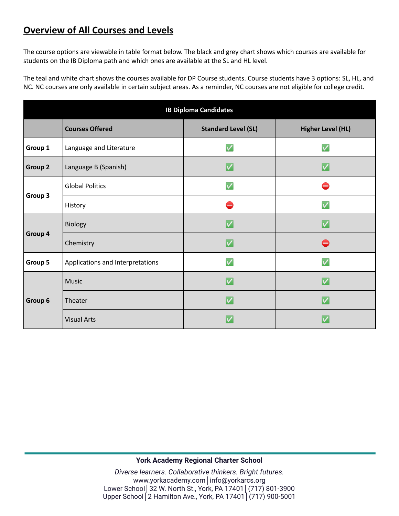# **Overview of All Courses and Levels**

The course options are viewable in table format below. The black and grey chart shows which courses are available for students on the IB Diploma path and which ones are available at the SL and HL level.

The teal and white chart shows the courses available for DP Course students. Course students have 3 options: SL, HL, and NC. NC courses are only available in certain subject areas. As a reminder, NC courses are not eligible for college credit.

| <b>IB Diploma Candidates</b> |                                  |                            |                          |
|------------------------------|----------------------------------|----------------------------|--------------------------|
|                              | <b>Courses Offered</b>           | <b>Standard Level (SL)</b> | <b>Higher Level (HL)</b> |
| Group 1                      | Language and Literature          | $\overline{\mathsf{v}}$    | $\checkmark$             |
| Group 2                      | Language B (Spanish)             | V                          | $\bm{\vee}$              |
|                              | <b>Global Politics</b>           | $\overline{\mathsf{v}}$    |                          |
| Group 3                      | History                          |                            | $\checkmark$             |
| Group 4                      | Biology                          | IV                         |                          |
|                              | Chemistry                        | IV                         |                          |
| Group 5                      | Applications and Interpretations | $\checkmark$               | $\checkmark$             |
| Group 6                      | <b>Music</b>                     | V                          |                          |
|                              | Theater                          | IV                         | IV.                      |
|                              | <b>Visual Arts</b>               | IV                         |                          |

# **York Academy Regional Charter School**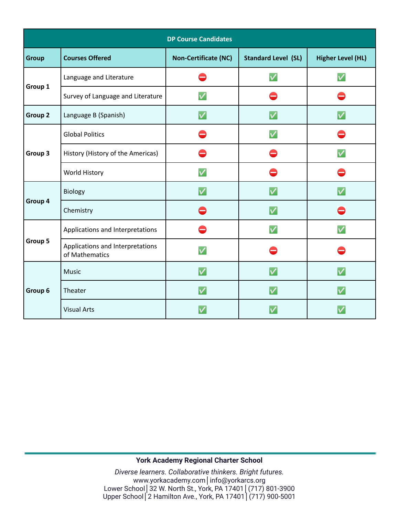| <b>DP Course Candidates</b> |                                                    |                             |                            |                          |
|-----------------------------|----------------------------------------------------|-----------------------------|----------------------------|--------------------------|
| <b>Group</b>                | <b>Courses Offered</b>                             | <b>Non-Certificate (NC)</b> | <b>Standard Level (SL)</b> | <b>Higher Level (HL)</b> |
|                             | Language and Literature                            |                             | $\overline{\mathsf{v}}$    | $\checkmark$             |
| Group 1                     | Survey of Language and Literature                  |                             |                            |                          |
| Group 2                     | Language B (Spanish)                               | $\bm{\mathsf{v}}$           | V                          |                          |
|                             | <b>Global Politics</b>                             |                             |                            |                          |
| Group 3                     | History (History of the Americas)                  |                             |                            |                          |
|                             | World History                                      |                             |                            |                          |
|                             | Biology                                            |                             |                            |                          |
| Group 4                     | Chemistry                                          |                             | V                          |                          |
|                             | Applications and Interpretations                   |                             | $\checkmark$               |                          |
| Group 5                     | Applications and Interpretations<br>of Mathematics |                             |                            |                          |
|                             | Music                                              | V                           | V                          |                          |
| Group 6                     | Theater                                            |                             | V                          |                          |
|                             | <b>Visual Arts</b>                                 |                             |                            |                          |

# **York Academy Regional Charter School**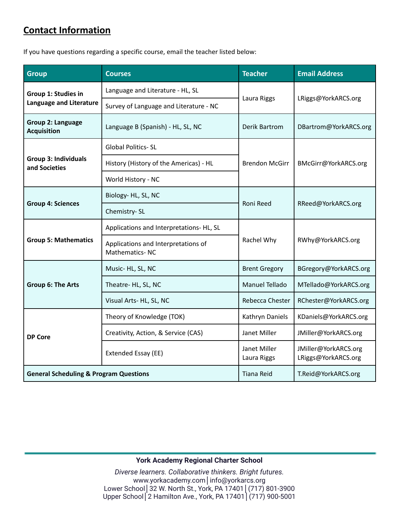# **Contact Information**

If you have questions regarding a specific course, email the teacher listed below:

| <b>Group</b>                                      | <b>Courses</b>                                                  |                                               | <b>Email Address</b>                        |  |
|---------------------------------------------------|-----------------------------------------------------------------|-----------------------------------------------|---------------------------------------------|--|
| Group 1: Studies in                               | Language and Literature - HL, SL                                |                                               | LRiggs@YorkARCS.org                         |  |
| <b>Language and Literature</b>                    | Survey of Language and Literature - NC                          | Laura Riggs                                   |                                             |  |
| Group 2: Language<br><b>Acquisition</b>           | Language B (Spanish) - HL, SL, NC                               | <b>Derik Bartrom</b><br>DBartrom@YorkARCS.org |                                             |  |
|                                                   | <b>Global Politics-SL</b>                                       |                                               |                                             |  |
| <b>Group 3: Individuals</b><br>and Societies      | History (History of the Americas) - HL<br><b>Brendon McGirr</b> |                                               | BMcGirr@YorkARCS.org                        |  |
|                                                   | World History - NC                                              |                                               |                                             |  |
| <b>Group 4: Sciences</b>                          | Biology-HL, SL, NC                                              | Roni Reed                                     | RReed@YorkARCS.org                          |  |
|                                                   | Chemistry-SL                                                    |                                               |                                             |  |
|                                                   | Applications and Interpretations- HL, SL                        |                                               | RWhy@YorkARCS.org                           |  |
| <b>Group 5: Mathematics</b>                       | Applications and Interpretations of<br>Mathematics-NC           | Rachel Why                                    |                                             |  |
|                                                   | Music-HL, SL, NC                                                | <b>Brent Gregory</b>                          | BGregory@YorkARCS.org                       |  |
| <b>Group 6: The Arts</b>                          | Theatre- HL, SL, NC                                             | Manuel Tellado                                | MTellado@YorkARCS.org                       |  |
|                                                   | Visual Arts- HL, SL, NC                                         | Rebecca Chester                               | RChester@YorkARCS.org                       |  |
|                                                   | Theory of Knowledge (TOK)                                       | Kathryn Daniels                               | KDaniels@YorkARCS.org                       |  |
| <b>DP Core</b>                                    | Creativity, Action, & Service (CAS)                             | Janet Miller                                  | JMiller@YorkARCS.org                        |  |
|                                                   | Extended Essay (EE)                                             | Janet Miller<br>Laura Riggs                   | JMiller@YorkARCS.org<br>LRiggs@YorkARCS.org |  |
| <b>General Scheduling &amp; Program Questions</b> |                                                                 | <b>Tiana Reid</b>                             | T.Reid@YorkARCS.org                         |  |

# **York Academy Regional Charter School**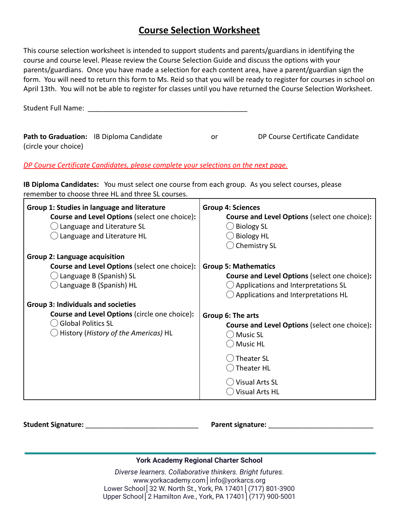# **Course Selection Worksheet**

This course selection worksheet is intended to support students and parents/guardians in identifying the course and course level. Please review the Course Selection Guide and discuss the options with your parents/guardians. Once you have made a selection for each content area, have a parent/guardian sign the form. You will need to return this form to Ms. Reid so that you will be ready to register for courses in school on April 13th. You will not be able to register for classes until you have returned the Course Selection Worksheet.

|                      | Path to Graduation: IB Diploma Candidate | or | DP Course Certificate Candidate |
|----------------------|------------------------------------------|----|---------------------------------|
| (circle your choice) |                                          |    |                                 |

# *DP Course Certificate Candidates, please complete your selections on the next page.*

**IB Diploma Candidates:** You must select one course from each group. As you select courses, please remember to choose three HL and three SL courses.

| Group 1: Studies in language and literature<br>Course and Level Options (select one choice):<br>$\bigcirc$ Language and Literature SL<br>Language and Literature HL | <b>Group 4: Sciences</b><br><b>Course and Level Options (select one choice):</b><br><b>Biology SL</b><br><b>Biology HL</b><br><b>Chemistry SL</b> |
|---------------------------------------------------------------------------------------------------------------------------------------------------------------------|---------------------------------------------------------------------------------------------------------------------------------------------------|
| <b>Group 2: Language acquisition</b>                                                                                                                                |                                                                                                                                                   |
| <b>Course and Level Options (select one choice):</b>                                                                                                                | <b>Group 5: Mathematics</b>                                                                                                                       |
| Language B (Spanish) SL                                                                                                                                             | <b>Course and Level Options (select one choice):</b>                                                                                              |
| Language B (Spanish) HL                                                                                                                                             | $\bigcirc$ Applications and Interpretations SL                                                                                                    |
|                                                                                                                                                                     | $\bigcirc$ Applications and Interpretations HL                                                                                                    |
| <b>Group 3: Individuals and societies</b>                                                                                                                           |                                                                                                                                                   |
| <b>Course and Level Options (circle one choice):</b>                                                                                                                | Group 6: The arts                                                                                                                                 |
| <b>Global Politics SL</b>                                                                                                                                           | <b>Course and Level Options (select one choice):</b>                                                                                              |
| $\bigcirc$ History (History of the Americas) <code>HL</code>                                                                                                        | <b>Music SL</b>                                                                                                                                   |
|                                                                                                                                                                     | <b>Music HL</b>                                                                                                                                   |
|                                                                                                                                                                     |                                                                                                                                                   |
|                                                                                                                                                                     | Theater SL                                                                                                                                        |
|                                                                                                                                                                     | Theater HL                                                                                                                                        |
|                                                                                                                                                                     | <b>Visual Arts SL</b>                                                                                                                             |
|                                                                                                                                                                     | <b>Visual Arts HL</b>                                                                                                                             |
|                                                                                                                                                                     |                                                                                                                                                   |

**Student Signature:** \_\_\_\_\_\_\_\_\_\_\_\_\_\_\_\_\_\_\_\_\_\_\_\_\_\_\_\_\_ **Parent signature:** \_\_\_\_\_\_\_\_\_\_\_\_\_\_\_\_\_\_\_\_\_\_\_\_\_\_\_

# **York Academy Regional Charter School**